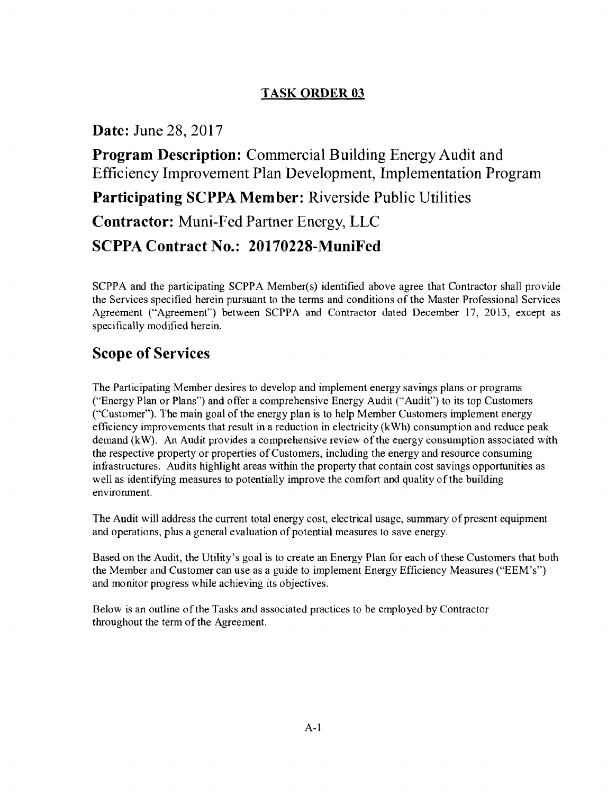## TASK ORDER 03

### Date: June 28, 2017

Program Description: Commercial Building Energy Audit and Efficiency Improvement Plan Development, Implementation Program Participating SCPPA Member: Riverside Public Utilities Contractor: Muni-Fed Partner Energy, LLC SCPPA Contract No.: 20170228-MuniFed

SCPPA and the participating SCPPA Member(s) identified above agree that Contractor shall provide the Services specified herein pursuant to the terms and conditions of the Master Professional Services Agreement ("Agreement") between SCPPA and Contractor dated December 17, 2013, except as specifically modified herein.

# Scope of Services

The Participating Member desires to develop and implement energy savings plans or programs ("Energy Plan or Plans") and offer a comprehensive Energy Audit ("Audit") to its top Customers ("Customer"). The main goal of the energy plan is to help Member Customers implement energy efficiency improvements that result in a reduction in electricity (kWh) consumption and reduce peak demand (kW). An Audit provides a comprehensive review of the energy consumption associated with the respective property or properties ofCustomers, including the energy and resource consuming infrastructures. Audits highlight areas within the property that contain cost savings opportunities as well as identifying measures to potentially improve the comfort and quality of the building environment.

The Audit will address the current total energy cost, electrical usage, summary of present equipment and operations, plus a general evaluation of potential measures to save energy.

Based on the Audit, the Utility's goal is to create an Energy Plan for each of these Customers that both the Member and Customer can use as a guide to implement Energy Efficiency Measures ("EEM's") and monitor progress while achieving its objectives.

Below is an outline ofthe Tasks and associated practices to be employed by Contractor throughout the term of the Agreement.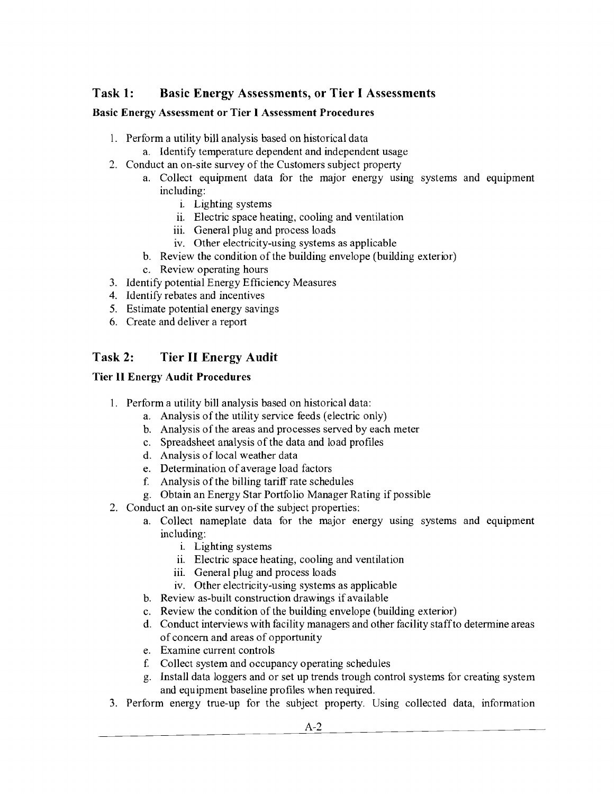### Task 1: Basic Energy Assessments, or Tier I Assessments

### Basic Energy Assessment or Tier I Assessment Procedures

- 1. Perform a utility bill analysis based on historical data
	- a. Identify temperature dependent and independent usage
- 2. Conduct an on-site survey of the Customers subject property
	- a. Collect equipment data for the major energy using systems and equipment including:
		- i. Lighting systems
		- ii. Electric space heating, cooling and ventilation
		- iii. General plug and process loads
		- iv. Other electricity-using systems as applicable
	- b. Review the condition of the building envelope (building exterior)
	- c. Review operating hours
- 3. Identify potential Energy Efficiency Measures
- 4. Identify rebates and incentives
- 5. Estimate potential energy savings
- 6. Create and deliver a report

### Task 2: Tier II Energy Audit

### Tier II Energy Audit Procedures

- 1. Perform a utility bill analysis based on historical data:
	- a. Analysis of the utility service feeds (electric only)
	- b. Analysis of the areas and processes served by each meter
	- c. Spreadsheet analysis of the data and load profiles
	- d. Analysis of local weather data
	- e. Determination of average load factors
	- f. Analysis of the billing tariff rate schedules
	- g. Obtain an Energy Star Portfolio Manager Rating if possible
- 2. Conduct an on-site survey of the subject properties:
	- a. Collect nameplate data for the major energy using systems and equipment including:
		- i. Lighting systems
		- ii. Electric space heating, cooling and ventilation
		- iii. General plug and process loads
		- iv. Other electricity-using systems as applicable
	- b. Review as-built construction drawings if available
	- c. Review the condition of the building envelope (building exterior)
	- d. Conduct interviews with facility managers and other facility staff to determine areas of concern and areas of opportunity
	- e. Examine current controls
	- f. Collect system and occupancy operating schedules
	- g. Install data loggers and or set up trends trough control systems for creating system and equipment baseline profiles when required.
- 3. Perform energy true-up for the subject property. Using collected data, information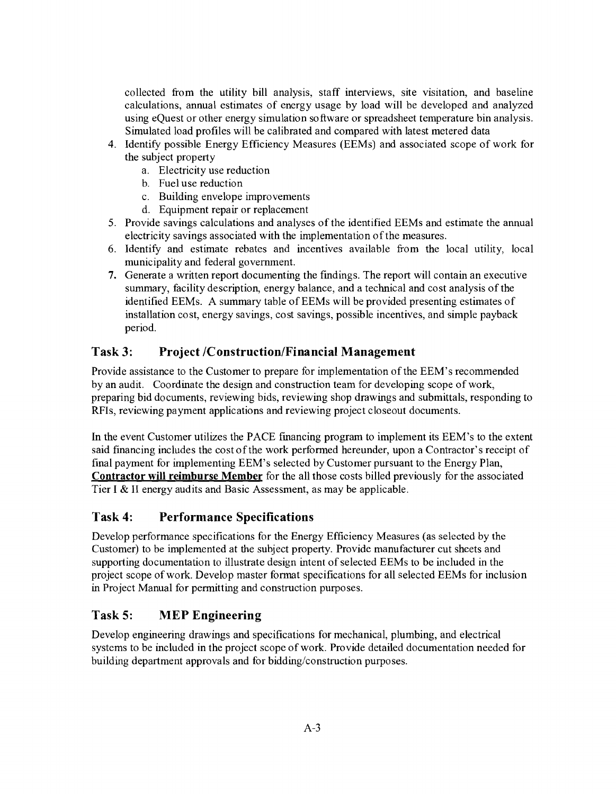collected from the utility bill analysis, staff interviews, site visitation, and baseline calculations, annual estimates of energy usage by load will be developed and analyzed using eQuest or other energy simulation software or spreadsheet temperature bin analysis. Simulated load profiles will be calibrated and compared with latest metered data

- 4. Identify possible Energy Efficiency Measures (EEMs) and associated scope of work for the subject property
	- a. Electricity use reduction
	- b. Fuel use reduction
	- c. Building envelope improvements
	- d. Equipment repair or replacement
- 5. Provide savings calculations and analyses of the identified EEMs and estimate the annual electricity savings associated with the implementation of the measures.
- 6. Identify and estimate rebates and incentives available from the local utility, local municipality and federal government.
- 7. Generate a written report documenting the fmdings. The report will contain an executive summary, facility description, energy balance, and a technical and cost analysis ofthe identified EEMs. A summary table of EEMs will be provided presenting estimates of installation cost, energy savings, cost savings, possible incentives, and simple payback period.

### **Task 3:** Project */Construction/Financial Management*

Provide assistance to the Customer to prepare for implementation ofthe EEM's recommended by an audit. Coordinate the design and construction team for developing scope of work, preparing bid documents, reviewing bids, reviewing shop drawings and submittals, responding to RFls, reviewing payment applications and reviewing project closeout documents.

In the event Customer utilizes the PACE fmancing program to implement its EEM's to the extent said financing includes the cost of the work performed hereunder, upon a Contractor's receipt of final payment for implementing EEM's selected by Customer pursuant to the Energy Plan, **Contractor will reimburse Member** for the all those costs billed previously for the associated Tier I & II energy audits and Basic Assessment, as may be applicable.

### **Task 4: Performance Specifications**

Develop performance specifications for the Energy Efficiency Measures (as selected by the Customer) to be implemented at the subject property. Provide manufacturer cut sheets and supporting documentation to illustrate design intent of selected EEMs to be included in the project scope of work. Develop master fonnat specifications for all selected EEMs for inclusion in Project Manual for pennitting and construction purposes.

### **Task 5: MEP Engineering**

Develop engineering drawings and specifications for mechanical, plumbing, and electrical systems to be included in the project scope of work. Provide detailed documentation needed for building department approvals and for bidding/construction purposes.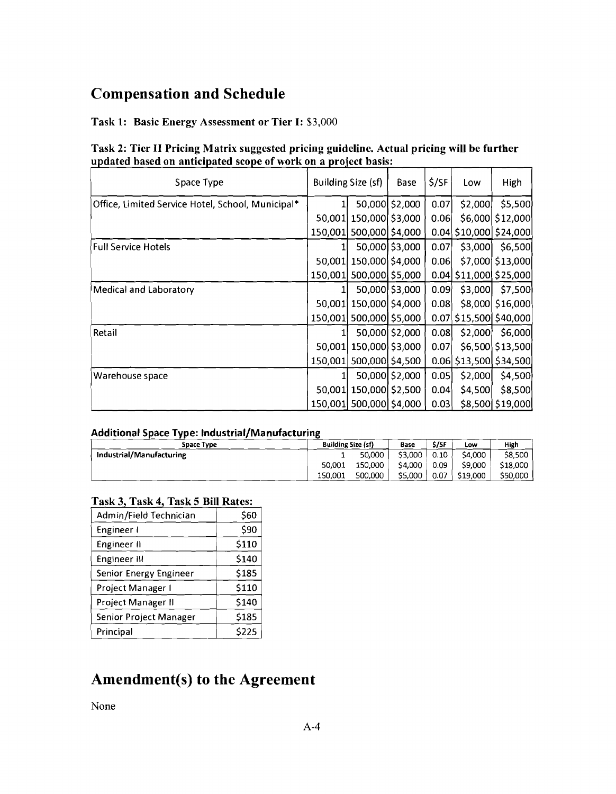# Compensation and Schedule

### Task 1: Basic Energy Assessment or Tier I: \$3,000

| Task 2: Tier II Pricing Matrix suggested pricing guideline. Actual pricing will be further |  |  |  |
|--------------------------------------------------------------------------------------------|--|--|--|
| updated based on anticipated scope of work on a project basis:                             |  |  |  |
|                                                                                            |  |  |  |

| Space Type                                        |         | Building Size (sf)      | Base           | \$/SF | Low                          | High             |
|---------------------------------------------------|---------|-------------------------|----------------|-------|------------------------------|------------------|
| Office, Limited Service Hotel, School, Municipal* |         |                         | 50,000 \$2,000 | 0.07  | \$2,000                      | \$5,500          |
|                                                   |         | 50,001 150,000 \$3,000  |                | 0.06  |                              | \$6,000 \$12,000 |
|                                                   | 150,001 | 500,000 \$4,000         |                |       | $0.04$ \$10,000 \$24,000     |                  |
| <b>Full Service Hotels</b>                        |         |                         | 50,000 \$3,000 | 0.07  | \$3,000                      | \$6,500          |
|                                                   |         | 50,001 150,000 \$4,000  |                | 0.06  |                              | \$7,000 \$13,000 |
|                                                   | 150,001 | 500,000 \$5,000         |                |       | 0.04 \$11,000 \$25,000       |                  |
| Medical and Laboratory                            |         |                         | 50,000 \$3,000 | 0.09  | \$3,000                      | \$7,500          |
|                                                   |         | 50,001 150,000 \$4,000  |                | 0.08  |                              | \$8,000 \$16,000 |
|                                                   |         | 150,001 500,000 \$5,000 |                |       | $0.07$ \$15,500 \$40,000     |                  |
| Retail                                            |         |                         | 50,000 \$2,000 | 0.08  | \$2,000                      | \$6,000          |
|                                                   |         | 50,001 150,000 \$3,000  |                | 0.07  |                              | \$6,500 \$13,500 |
|                                                   | 150,001 | 500,000 \$4,500         |                |       | $0.06$   \$13,500   \$34,500 |                  |
| Warehouse space                                   |         |                         | 50,000 \$2,000 | 0.05  | \$2,000                      | \$4,500          |
|                                                   |         | 50,001 150,000 \$2,500  |                | 0.04  | \$4,500                      | \$8,500          |
|                                                   |         | 150,001 500,000         | \$4,000        | 0.03  |                              | \$8,500 \$19,000 |

#### Additional Space Type: Industrial/Manufacturing

| Space Type               | <b>Building Size (sf)</b> |         | Base    | \$/SF | Low      | High     |
|--------------------------|---------------------------|---------|---------|-------|----------|----------|
| Industrial/Manufacturing |                           | 50,000  | \$3,000 | 0.10  | \$4,000  | \$8.500  |
|                          | 50.001                    | 150,000 | \$4,000 | 0.09  | \$9,000  | \$18,000 |
|                          | 150.001                   | 500,000 | \$5,000 | 0.07  | \$19,000 | \$50,000 |

### Task 3, Task 4, Task 5 Bill Rates:

| Admin/Field Technician        | \$60  |
|-------------------------------|-------|
| Engineer I                    | \$90  |
| Engineer II                   | \$110 |
| Engineer III                  | \$140 |
| Senior Energy Engineer        | \$185 |
| Project Manager I             | \$110 |
| Project Manager II            | \$140 |
| <b>Senior Project Manager</b> | \$185 |
| Principal                     | \$225 |

# Amendment(s) to the Agreement

None